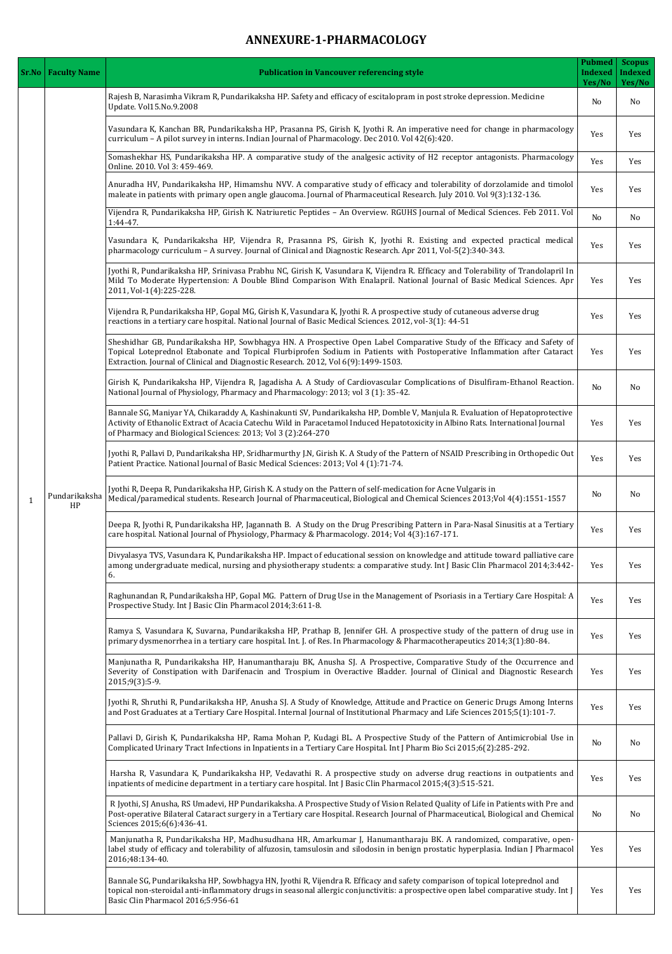## **ANNEXURE-1-PHARMACOLOGY**

| <b>Sr.No   Faculty Name</b> | <b>Publication in Vancouver referencing style</b>                                                                                                                                                                                                                                                                                         | <b>Pubmed</b><br><b>Indexed</b><br>Yes/No | <b>Scopus</b><br><b>Indexed</b><br>Yes/No |
|-----------------------------|-------------------------------------------------------------------------------------------------------------------------------------------------------------------------------------------------------------------------------------------------------------------------------------------------------------------------------------------|-------------------------------------------|-------------------------------------------|
| Pundarikaksha<br>HP         | Rajesh B, Narasimha Vikram R, Pundarikaksha HP. Safety and efficacy of escitalopram in post stroke depression. Medicine<br>Update. Vol15.No.9.2008                                                                                                                                                                                        | N <sub>o</sub>                            | <b>No</b>                                 |
|                             | Vasundara K, Kanchan BR, Pundarikaksha HP, Prasanna PS, Girish K, Jyothi R. An imperative need for change in pharmacology<br>curriculum - A pilot survey in interns. Indian Journal of Pharmacology. Dec 2010. Vol 42(6):420.                                                                                                             | Yes                                       | Yes                                       |
|                             | Somashekhar HS, Pundarikaksha HP. A comparative study of the analgesic activity of H2 receptor antagonists. Pharmacology<br>Online. 2010. Vol 3: 459-469.                                                                                                                                                                                 | Yes                                       | Yes                                       |
|                             | Anuradha HV, Pundarikaksha HP, Himamshu NVV. A comparative study of efficacy and tolerability of dorzolamide and timolol<br>maleate in patients with primary open angle glaucoma. Journal of Pharmaceutical Research. July 2010. Vol 9(3):132-136.                                                                                        | Yes                                       | Yes                                       |
|                             | Vijendra R, Pundarikaksha HP, Girish K. Natriuretic Peptides - An Overview. RGUHS Journal of Medical Sciences. Feb 2011. Vol<br>$1:44-47.$                                                                                                                                                                                                | N <sub>o</sub>                            | N <sub>o</sub>                            |
|                             | Vasundara K, Pundarikaksha HP, Vijendra R, Prasanna PS, Girish K, Jyothi R. Existing and expected practical medical<br>pharmacology curriculum - A survey. Journal of Clinical and Diagnostic Research. Apr 2011, Vol-5(2):340-343.                                                                                                       | Yes                                       | Yes                                       |
|                             | Jyothi R, Pundarikaksha HP, Srinivasa Prabhu NC, Girish K, Vasundara K, Vijendra R. Efficacy and Tolerability of Trandolapril In<br>Mild To Moderate Hypertension: A Double Blind Comparison With Enalapril. National Journal of Basic Medical Sciences. Apr<br>2011, Vol-1(4):225-228.                                                   | Yes                                       | Yes                                       |
|                             | Vijendra R, Pundarikaksha HP, Gopal MG, Girish K, Vasundara K, Jyothi R. A prospective study of cutaneous adverse drug<br>reactions in a tertiary care hospital. National Journal of Basic Medical Sciences. 2012, vol-3(1): 44-51                                                                                                        | Yes                                       | Yes                                       |
|                             | Sheshidhar GB, Pundarikaksha HP, Sowbhagya HN. A Prospective Open Label Comparative Study of the Efficacy and Safety of<br>Topical Loteprednol Etabonate and Topical Flurbiprofen Sodium in Patients with Postoperative Inflammation after Cataract<br>Extraction. Journal of Clinical and Diagnostic Research. 2012, Vol 6(9):1499-1503. | Yes                                       | Yes                                       |
|                             | Girish K, Pundarikaksha HP, Vijendra R, Jagadisha A. A Study of Cardiovascular Complications of Disulfiram-Ethanol Reaction.<br>National Journal of Physiology, Pharmacy and Pharmacology: 2013; vol 3 (1): 35-42.                                                                                                                        | N <sub>o</sub>                            | N <sub>o</sub>                            |
|                             | Bannale SG, Maniyar YA, Chikaraddy A, Kashinakunti SV, Pundarikaksha HP, Domble V, Manjula R. Evaluation of Hepatoprotective<br>Activity of Ethanolic Extract of Acacia Catechu Wild in Paracetamol Induced Hepatotoxicity in Albino Rats. International Journal<br>of Pharmacy and Biological Sciences: 2013; Vol 3 (2):264-270          | Yes                                       | Yes                                       |
|                             | Jyothi R, Pallavi D, Pundarikaksha HP, Sridharmurthy J.N, Girish K. A Study of the Pattern of NSAID Prescribing in Orthopedic Out<br>Patient Practice. National Journal of Basic Medical Sciences: 2013; Vol 4 (1):71-74.                                                                                                                 | Yes                                       | Yes                                       |
|                             | Jyothi R, Deepa R, Pundarikaksha HP, Girish K. A study on the Pattern of self-medication for Acne Vulgaris in<br>Medical/paramedical students. Research Journal of Pharmaceutical, Biological and Chemical Sciences 2013; Vol 4(4): 1551-1557                                                                                             | N <sub>o</sub>                            | <b>No</b>                                 |
|                             | Deepa R, Jyothi R, Pundarikaksha HP, Jagannath B. A Study on the Drug Prescribing Pattern in Para-Nasal Sinusitis at a Tertiary<br>care hospital. National Journal of Physiology, Pharmacy & Pharmacology. 2014; Vol 4(3):167-171.                                                                                                        | Yes                                       | Yes                                       |
|                             | Divyalasya TVS, Vasundara K, Pundarikaksha HP. Impact of educational session on knowledge and attitude toward palliative care<br>among undergraduate medical, nursing and physiotherapy students: a comparative study. Int J Basic Clin Pharmacol 2014;3:442-<br>6.                                                                       | Yes                                       | Yes                                       |
|                             | Raghunandan R, Pundarikaksha HP, Gopal MG. Pattern of Drug Use in the Management of Psoriasis in a Tertiary Care Hospital: A<br>Prospective Study. Int J Basic Clin Pharmacol 2014;3:611-8.                                                                                                                                               | Yes                                       | Yes                                       |
|                             | Ramya S, Vasundara K, Suvarna, Pundarikaksha HP, Prathap B, Jennifer GH. A prospective study of the pattern of drug use in<br>primary dysmenorrhea in a tertiary care hospital. Int. J. of Res. In Pharmacology & Pharmacotherapeutics 2014;3(1):80-84.                                                                                   | Yes                                       | Yes                                       |
|                             | Manjunatha R, Pundarikaksha HP, Hanumantharaju BK, Anusha SJ. A Prospective, Comparative Study of the Occurrence and<br>Severity of Constipation with Darifenacin and Trospium in Overactive Bladder. Journal of Clinical and Diagnostic Research<br>$2015;9(3):5-9.$                                                                     | Yes                                       | Yes                                       |
|                             | Jyothi R, Shruthi R, Pundarikaksha HP, Anusha SJ. A Study of Knowledge, Attitude and Practice on Generic Drugs Among Interns<br>and Post Graduates at a Tertiary Care Hospital. Internal Journal of Institutional Pharmacy and Life Sciences 2015;5(1):101-7.                                                                             | Yes                                       | Yes                                       |
|                             | Pallavi D, Girish K, Pundarikaksha HP, Rama Mohan P, Kudagi BL. A Prospective Study of the Pattern of Antimicrobial Use in<br>Complicated Urinary Tract Infections in Inpatients in a Tertiary Care Hospital. Int J Pharm Bio Sci 2015;6(2):285-292.                                                                                      | <b>No</b>                                 | N <sub>o</sub>                            |
|                             | Harsha R, Vasundara K, Pundarikaksha HP, Vedavathi R. A prospective study on adverse drug reactions in outpatients and<br>inpatients of medicine department in a tertiary care hospital. Int J Basic Clin Pharmacol 2015;4(3):515-521.                                                                                                    | Yes                                       | Yes                                       |
|                             | R Jyothi, SJ Anusha, RS Umadevi, HP Pundarikaksha. A Prospective Study of Vision Related Quality of Life in Patients with Pre and<br>Post-operative Bilateral Cataract surgery in a Tertiary care Hospital. Research Journal of Pharmaceutical, Biological and Chemical<br>Sciences 2015;6(6):436-41.                                     | N <sub>o</sub>                            | N <sub>o</sub>                            |
|                             | Manjunatha R, Pundarikaksha HP, Madhusudhana HR, Amarkumar J, Hanumantharaju BK. A randomized, comparative, open-<br>label study of efficacy and tolerability of alfuzosin, tamsulosin and silodosin in benign prostatic hyperplasia. Indian J Pharmacol<br>2016;48:134-40.                                                               | Yes                                       | Yes                                       |
|                             | Bannale SG, Pundarikaksha HP, Sowbhagya HN, Jyothi R, Vijendra R. Efficacy and safety comparison of topical loteprednol and<br>topical non-steroidal anti-inflammatory drugs in seasonal allergic conjunctivitis: a prospective open label comparative study. Int J<br>Basic Clin Pharmacol 2016;5:956-61                                 | Yes                                       | Yes                                       |